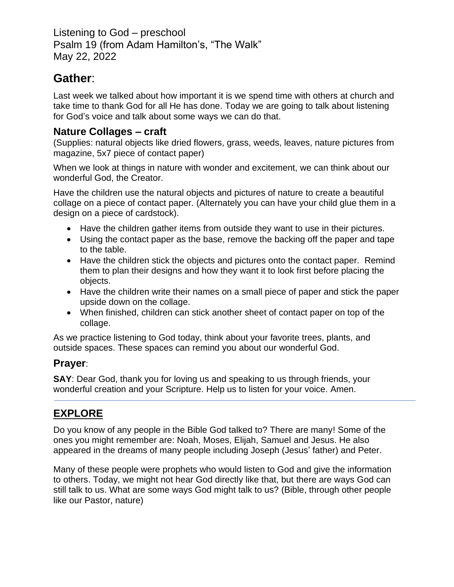Listening to God – preschool Psalm 19 (from Adam Hamilton's, "The Walk" May 22, 2022

# **Gather**:

Last week we talked about how important it is we spend time with others at church and take time to thank God for all He has done. Today we are going to talk about listening for God's voice and talk about some ways we can do that.

### **Nature Collages – craft**

(Supplies: natural objects like dried flowers, grass, weeds, leaves, nature pictures from magazine, 5x7 piece of contact paper)

When we look at things in nature with wonder and excitement, we can think about our wonderful God, the Creator.

Have the children use the natural objects and pictures of nature to create a beautiful collage on a piece of contact paper. (Alternately you can have your child glue them in a design on a piece of cardstock).

- Have the children gather items from outside they want to use in their pictures.
- Using the contact paper as the base, remove the backing off the paper and tape to the table.
- Have the children stick the objects and pictures onto the contact paper. Remind them to plan their designs and how they want it to look first before placing the objects.
- Have the children write their names on a small piece of paper and stick the paper upside down on the collage.
- When finished, children can stick another sheet of contact paper on top of the collage.

As we practice listening to God today, think about your favorite trees, plants, and outside spaces. These spaces can remind you about our wonderful God.

## **Prayer**:

**SAY**: Dear God, thank you for loving us and speaking to us through friends, your wonderful creation and your Scripture. Help us to listen for your voice. Amen.

## **EXPLORE**

Do you know of any people in the Bible God talked to? There are many! Some of the ones you might remember are: Noah, Moses, Elijah, Samuel and Jesus. He also appeared in the dreams of many people including Joseph (Jesus' father) and Peter.

Many of these people were prophets who would listen to God and give the information to others. Today, we might not hear God directly like that, but there are ways God can still talk to us. What are some ways God might talk to us? (Bible, through other people like our Pastor, nature)